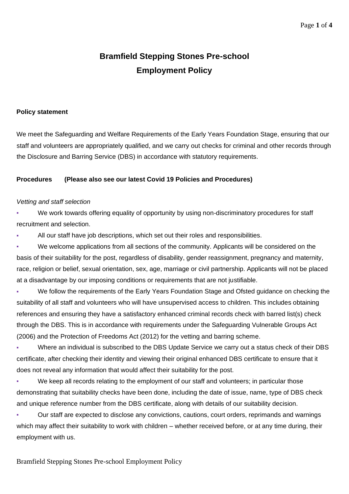# **Bramfield Stepping Stones Pre-school Employment Policy**

#### **Policy statement**

We meet the Safeguarding and Welfare Requirements of the Early Years Foundation Stage, ensuring that our staff and volunteers are appropriately qualified, and we carry out checks for criminal and other records through the Disclosure and Barring Service (DBS) in accordance with statutory requirements.

#### **Procedures (Please also see our latest Covid 19 Policies and Procedures)**

#### *Vetting and staff selection*

We work towards offering equality of opportunity by using non-discriminatory procedures for staff recruitment and selection.

All our staff have job descriptions, which set out their roles and responsibilities.

We welcome applications from all sections of the community. Applicants will be considered on the basis of their suitability for the post, regardless of disability, gender reassignment, pregnancy and maternity, race, religion or belief, sexual orientation, sex, age, marriage or civil partnership. Applicants will not be placed at a disadvantage by our imposing conditions or requirements that are not justifiable.

We follow the requirements of the Early Years Foundation Stage and Ofsted guidance on checking the suitability of all staff and volunteers who will have unsupervised access to children. This includes obtaining references and ensuring they have a satisfactory enhanced criminal records check with barred list(s) check through the DBS. This is in accordance with requirements under the Safeguarding Vulnerable Groups Act (2006) and the Protection of Freedoms Act (2012) for the vetting and barring scheme.

▪ Where an individual is subscribed to the DBS Update Service we carry out a status check of their DBS certificate, after checking their identity and viewing their original enhanced DBS certificate to ensure that it does not reveal any information that would affect their suitability for the post.

We keep all records relating to the employment of our staff and volunteers; in particular those demonstrating that suitability checks have been done, including the date of issue, name, type of DBS check and unique reference number from the DBS certificate, along with details of our suitability decision.

Our staff are expected to disclose any convictions, cautions, court orders, reprimands and warnings which may affect their suitability to work with children – whether received before, or at any time during, their employment with us.

Bramfield Stepping Stones Pre-school Employment Policy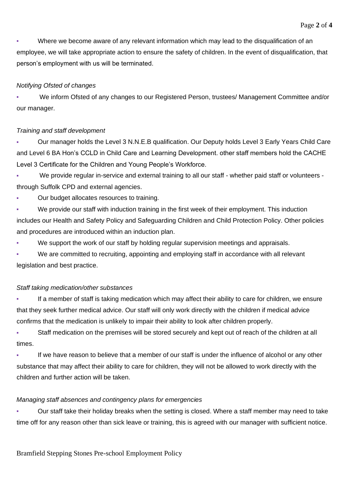Where we become aware of any relevant information which may lead to the disqualification of an employee, we will take appropriate action to ensure the safety of children. In the event of disqualification, that person's employment with us will be terminated.

## *Notifying Ofsted of changes*

We inform Ofsted of any changes to our Registered Person, trustees/ Management Committee and/or our manager.

## *Training and staff development*

Our manager holds the Level 3 N.N.E.B qualification. Our Deputy holds Level 3 Early Years Child Care and Level 6 BA Hon's CCLD in Child Care and Learning Development. other staff members hold the CACHE Level 3 Certificate for the Children and Young People's Workforce.

We provide regular in-service and external training to all our staff - whether paid staff or volunteers through Suffolk CPD and external agencies.

Our budget allocates resources to training.

We provide our staff with induction training in the first week of their employment. This induction includes our Health and Safety Policy and Safeguarding Children and Child Protection Policy. Other policies and procedures are introduced within an induction plan.

We support the work of our staff by holding regular supervision meetings and appraisals.

We are committed to recruiting, appointing and employing staff in accordance with all relevant legislation and best practice.

#### *Staff taking medication/other substances*

If a member of staff is taking medication which may affect their ability to care for children, we ensure that they seek further medical advice. Our staff will only work directly with the children if medical advice confirms that the medication is unlikely to impair their ability to look after children properly.

Staff medication on the premises will be stored securely and kept out of reach of the children at all times.

If we have reason to believe that a member of our staff is under the influence of alcohol or any other substance that may affect their ability to care for children, they will not be allowed to work directly with the children and further action will be taken.

#### *Managing staff absences and contingency plans for emergencies*

Our staff take their holiday breaks when the setting is closed. Where a staff member may need to take time off for any reason other than sick leave or training, this is agreed with our manager with sufficient notice.

Bramfield Stepping Stones Pre-school Employment Policy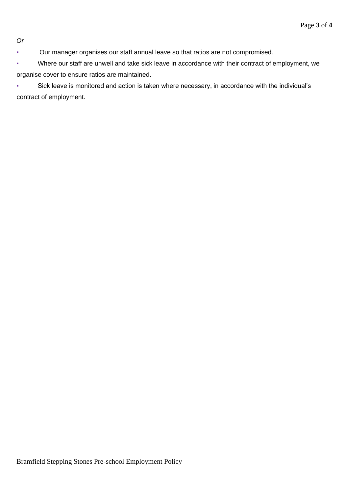*Or*

- Our manager organises our staff annual leave so that ratios are not compromised.
- Where our staff are unwell and take sick leave in accordance with their contract of employment, we organise cover to ensure ratios are maintained.
- Sick leave is monitored and action is taken where necessary, in accordance with the individual's contract of employment.